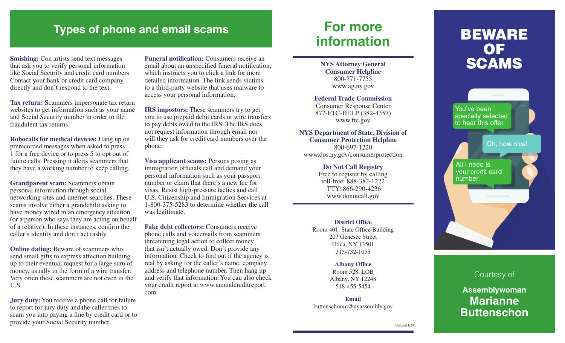## **Types of phone and email scams For more**

**Smishing:** Con artists send text messages that ask you to verify personal information like Social Security and credit card numbers. Contact your bank or credit card company directly and don't respond to the text.

**Tax return:** Scammers impersonate tax return websites to get information such as your name and Social Security number in order to file fraudulent tax returns.

**Robocalls for medical devices:** Hang up on prerecorded messages when asked to press 1 for a free device or to press 5 to opt out of future calls. Pressing it alerts scammers that they have a working number to keep calling.

**Grandparent scam:** Scammers obtain personal information through social networking sites and internet searches. These scams involve either a grandchild asking to have money wired in an emergency situation (or a person who says they are acting on behalf of a relative). In these instances, confirm the caller's identity and don't act rashly.

**Online dating:** Beware of scammers who send small gifts to express affection building up to their eventual request for a large sum of money, usually in the form of a wire transfer. Very often these scammers are not even in the U.S.

**Jury duty:** You receive a phone call for failure to report for jury duty and the caller tries to scam you into paying a fine by credit card or to provide your Social Security number.

**Funeral notification:** Consumers receive an email about an unspecified funeral notification, which instructs you to click a link for more detailed information. The link sends victims to a third-party website that uses malware to access your personal information.

**IRS impostors:** These scammers try to get you to use prepaid debit cards or wire transfers to pay debts owed to the IRS. The IRS does not request information through email nor will they ask for credit card numbers over the phone.

**Visa applicant scams:** Persons posing as immigration officials call and demand your personal information such as your passport number or claim that there's a new fee for visas. Resist high-pressure tactics and call U.S. Citizenship and Immigration Services at 1-800-375-5283 to determine whether the call was legitimate.

**Fake debt collectors:** Consumers receive phone calls and voicemails from scammers threatening legal action to collect money that isn't actually owed. Don't provide any information. Check to find out if the agency is real by asking for the caller's name, company address and telephone number. Then hang up and verify that information. You can also check your credit report at www.annualcreditreport. com.

# **information**

**NYS Attorney General Consumer Helpline** 800-771-7755 www.ag.ny.gov

**Federal Trade Commission** Consumer Response Center 877-FTC-HELP (382-4357) www.ftc.gov

#### **NYS Department of State, Division of Consumer Protection Helpline** 800-697-1220

www.dos.ny.gov/consumerprotection

**Do Not Call Registry** Free to register by calling toll-free: 888-382-1222 TTY: 866-290-4236 www.donotcall.gov

**District Office** Room 401, State Office Building 207 Genesee Street Utica, NY 13501 315-732-1055

> **Albany Office** Room 528, LOB Albany, NY 12248 518-455-5454

**Email** buttenschonm@nyassembly.gov

## BEWARE OF **SCAMS**

You've been specially selected to hear this offer. Oh, how nice! All I need is

your credit card number.



Courtesy of

### **Assemblywoman Marianne Buttenschon**